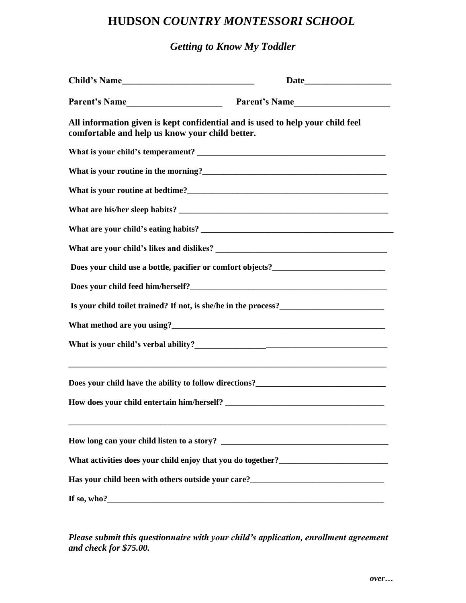## **HUDSON** *COUNTRY MONTESSORI SCHOOL*

## *Getting to Know My Toddler*

| Parent's Name                                   | Parent's Name                                                                                                                                                                                                                                                                                                                                                  |
|-------------------------------------------------|----------------------------------------------------------------------------------------------------------------------------------------------------------------------------------------------------------------------------------------------------------------------------------------------------------------------------------------------------------------|
| comfortable and help us know your child better. | All information given is kept confidential and is used to help your child feel                                                                                                                                                                                                                                                                                 |
|                                                 |                                                                                                                                                                                                                                                                                                                                                                |
|                                                 |                                                                                                                                                                                                                                                                                                                                                                |
|                                                 |                                                                                                                                                                                                                                                                                                                                                                |
|                                                 |                                                                                                                                                                                                                                                                                                                                                                |
|                                                 |                                                                                                                                                                                                                                                                                                                                                                |
|                                                 |                                                                                                                                                                                                                                                                                                                                                                |
|                                                 | Does your child use a bottle, pacifier or comfort objects?_______________________                                                                                                                                                                                                                                                                              |
|                                                 |                                                                                                                                                                                                                                                                                                                                                                |
|                                                 |                                                                                                                                                                                                                                                                                                                                                                |
|                                                 |                                                                                                                                                                                                                                                                                                                                                                |
|                                                 |                                                                                                                                                                                                                                                                                                                                                                |
|                                                 | <u> 1989 - Johann Barn, amerikan bernama di sebagai bernama di sebagai bernama di sebagai bernama di sebagai bern</u><br>Does your child have the ability to follow directions?<br><u>Letting</u> and the solution of the solution of the solution of the solution of the solution of the solution of the solution of the solution of the solution of the solu |
|                                                 |                                                                                                                                                                                                                                                                                                                                                                |
|                                                 |                                                                                                                                                                                                                                                                                                                                                                |
|                                                 | What activities does your child enjoy that you do together?_____________________                                                                                                                                                                                                                                                                               |
|                                                 | Has your child been with others outside your care?<br><u>Letting and the substitute of the substitute of the substitute</u> of the substitute of the substitute of the substitute of the substitute of the substitute of the substitu                                                                                                                          |
|                                                 |                                                                                                                                                                                                                                                                                                                                                                |

*Please submit this questionnaire with your child's application, enrollment agreement and check for \$75.00.*